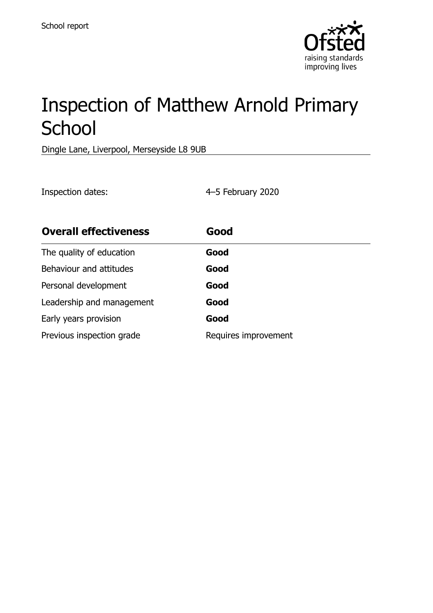

# Inspection of Matthew Arnold Primary School

Dingle Lane, Liverpool, Merseyside L8 9UB

Inspection dates: 4–5 February 2020

| <b>Overall effectiveness</b> | Good                 |  |
|------------------------------|----------------------|--|
| The quality of education     | Good                 |  |
| Behaviour and attitudes      | Good                 |  |
| Personal development         | Good                 |  |
| Leadership and management    | Good                 |  |
| Early years provision        | Good                 |  |
| Previous inspection grade    | Requires improvement |  |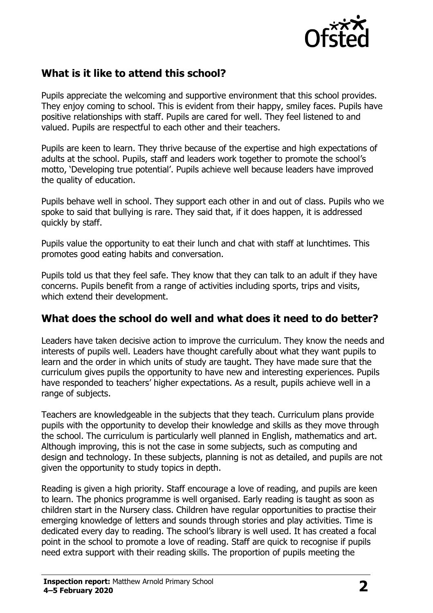

# **What is it like to attend this school?**

Pupils appreciate the welcoming and supportive environment that this school provides. They enjoy coming to school. This is evident from their happy, smiley faces. Pupils have positive relationships with staff. Pupils are cared for well. They feel listened to and valued. Pupils are respectful to each other and their teachers.

Pupils are keen to learn. They thrive because of the expertise and high expectations of adults at the school. Pupils, staff and leaders work together to promote the school's motto, 'Developing true potential'. Pupils achieve well because leaders have improved the quality of education.

Pupils behave well in school. They support each other in and out of class. Pupils who we spoke to said that bullying is rare. They said that, if it does happen, it is addressed quickly by staff.

Pupils value the opportunity to eat their lunch and chat with staff at lunchtimes. This promotes good eating habits and conversation.

Pupils told us that they feel safe. They know that they can talk to an adult if they have concerns. Pupils benefit from a range of activities including sports, trips and visits, which extend their development.

#### **What does the school do well and what does it need to do better?**

Leaders have taken decisive action to improve the curriculum. They know the needs and interests of pupils well. Leaders have thought carefully about what they want pupils to learn and the order in which units of study are taught. They have made sure that the curriculum gives pupils the opportunity to have new and interesting experiences. Pupils have responded to teachers' higher expectations. As a result, pupils achieve well in a range of subjects.

Teachers are knowledgeable in the subjects that they teach. Curriculum plans provide pupils with the opportunity to develop their knowledge and skills as they move through the school. The curriculum is particularly well planned in English, mathematics and art. Although improving, this is not the case in some subjects, such as computing and design and technology. In these subjects, planning is not as detailed, and pupils are not given the opportunity to study topics in depth.

Reading is given a high priority. Staff encourage a love of reading, and pupils are keen to learn. The phonics programme is well organised. Early reading is taught as soon as children start in the Nursery class. Children have regular opportunities to practise their emerging knowledge of letters and sounds through stories and play activities. Time is dedicated every day to reading. The school's library is well used. It has created a focal point in the school to promote a love of reading. Staff are quick to recognise if pupils need extra support with their reading skills. The proportion of pupils meeting the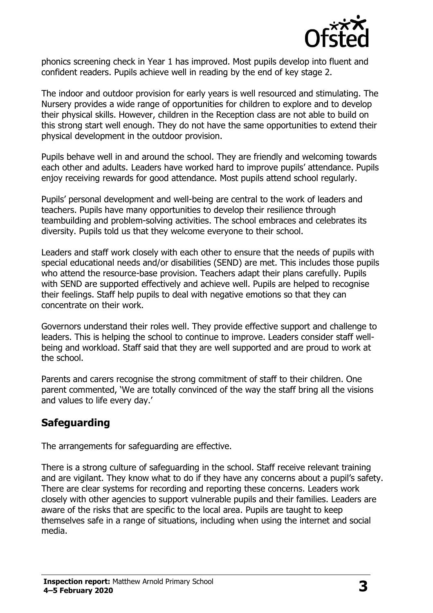

phonics screening check in Year 1 has improved. Most pupils develop into fluent and confident readers. Pupils achieve well in reading by the end of key stage 2.

The indoor and outdoor provision for early years is well resourced and stimulating. The Nursery provides a wide range of opportunities for children to explore and to develop their physical skills. However, children in the Reception class are not able to build on this strong start well enough. They do not have the same opportunities to extend their physical development in the outdoor provision.

Pupils behave well in and around the school. They are friendly and welcoming towards each other and adults. Leaders have worked hard to improve pupils' attendance. Pupils enjoy receiving rewards for good attendance. Most pupils attend school regularly.

Pupils' personal development and well-being are central to the work of leaders and teachers. Pupils have many opportunities to develop their resilience through teambuilding and problem-solving activities. The school embraces and celebrates its diversity. Pupils told us that they welcome everyone to their school.

Leaders and staff work closely with each other to ensure that the needs of pupils with special educational needs and/or disabilities (SEND) are met. This includes those pupils who attend the resource-base provision. Teachers adapt their plans carefully. Pupils with SEND are supported effectively and achieve well. Pupils are helped to recognise their feelings. Staff help pupils to deal with negative emotions so that they can concentrate on their work.

Governors understand their roles well. They provide effective support and challenge to leaders. This is helping the school to continue to improve. Leaders consider staff wellbeing and workload. Staff said that they are well supported and are proud to work at the school.

Parents and carers recognise the strong commitment of staff to their children. One parent commented, 'We are totally convinced of the way the staff bring all the visions and values to life every day.'

# **Safeguarding**

The arrangements for safeguarding are effective.

There is a strong culture of safeguarding in the school. Staff receive relevant training and are vigilant. They know what to do if they have any concerns about a pupil's safety. There are clear systems for recording and reporting these concerns. Leaders work closely with other agencies to support vulnerable pupils and their families. Leaders are aware of the risks that are specific to the local area. Pupils are taught to keep themselves safe in a range of situations, including when using the internet and social media.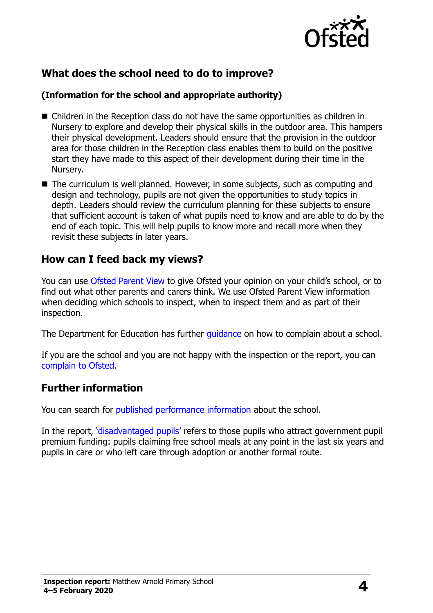

# **What does the school need to do to improve?**

#### **(Information for the school and appropriate authority)**

- Children in the Reception class do not have the same opportunities as children in Nursery to explore and develop their physical skills in the outdoor area. This hampers their physical development. Leaders should ensure that the provision in the outdoor area for those children in the Reception class enables them to build on the positive start they have made to this aspect of their development during their time in the Nursery.
- The curriculum is well planned. However, in some subjects, such as computing and design and technology, pupils are not given the opportunities to study topics in depth. Leaders should review the curriculum planning for these subjects to ensure that sufficient account is taken of what pupils need to know and are able to do by the end of each topic. This will help pupils to know more and recall more when they revisit these subjects in later years.

## **How can I feed back my views?**

You can use [Ofsted Parent View](http://parentview.ofsted.gov.uk/) to give Ofsted your opinion on your child's school, or to find out what other parents and carers think. We use Ofsted Parent View information when deciding which schools to inspect, when to inspect them and as part of their inspection.

The Department for Education has further quidance on how to complain about a school.

If you are the school and you are not happy with the inspection or the report, you can [complain to Ofsted.](http://www.gov.uk/complain-ofsted-report)

## **Further information**

You can search for [published performance information](http://www.compare-school-performance.service.gov.uk/) about the school.

In the report, '[disadvantaged pupils](http://www.gov.uk/guidance/pupil-premium-information-for-schools-and-alternative-provision-settings)' refers to those pupils who attract government pupil premium funding: pupils claiming free school meals at any point in the last six years and pupils in care or who left care through adoption or another formal route.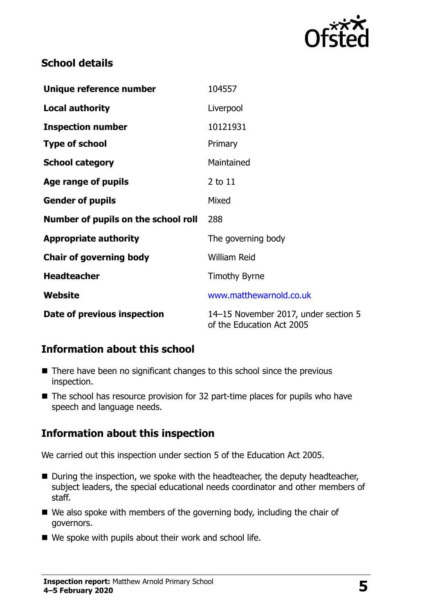

# **School details**

| Unique reference number             | 104557                                                            |  |
|-------------------------------------|-------------------------------------------------------------------|--|
| <b>Local authority</b>              | Liverpool                                                         |  |
| <b>Inspection number</b>            | 10121931                                                          |  |
| <b>Type of school</b>               | Primary                                                           |  |
| <b>School category</b>              | Maintained                                                        |  |
| Age range of pupils                 | 2 to 11                                                           |  |
| <b>Gender of pupils</b>             | Mixed                                                             |  |
| Number of pupils on the school roll | 288                                                               |  |
| <b>Appropriate authority</b>        | The governing body                                                |  |
| <b>Chair of governing body</b>      | <b>William Reid</b>                                               |  |
| <b>Headteacher</b>                  | <b>Timothy Byrne</b>                                              |  |
| Website                             | www.matthewarnold.co.uk                                           |  |
| Date of previous inspection         | 14-15 November 2017, under section 5<br>of the Education Act 2005 |  |

# **Information about this school**

- There have been no significant changes to this school since the previous inspection.
- $\blacksquare$  The school has resource provision for 32 part-time places for pupils who have speech and language needs.

# **Information about this inspection**

We carried out this inspection under section 5 of the Education Act 2005.

- During the inspection, we spoke with the headteacher, the deputy headteacher, subject leaders, the special educational needs coordinator and other members of staff.
- We also spoke with members of the governing body, including the chair of governors.
- $\blacksquare$  We spoke with pupils about their work and school life.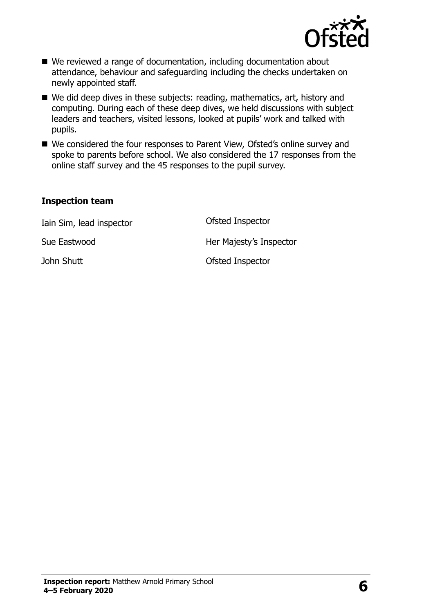

- We reviewed a range of documentation, including documentation about attendance, behaviour and safeguarding including the checks undertaken on newly appointed staff.
- We did deep dives in these subjects: reading, mathematics, art, history and computing. During each of these deep dives, we held discussions with subject leaders and teachers, visited lessons, looked at pupils' work and talked with pupils.
- We considered the four responses to Parent View, Ofsted's online survey and spoke to parents before school. We also considered the 17 responses from the online staff survey and the 45 responses to the pupil survey.

#### **Inspection team**

| Iain Sim, lead inspector | Ofsted Inspector        |
|--------------------------|-------------------------|
| Sue Eastwood             | Her Majesty's Inspector |
| John Shutt               | Ofsted Inspector        |